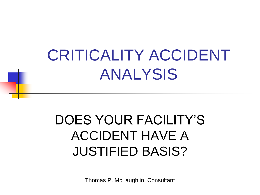## CRITICALITY ACCIDENT ANALYSIS

#### DOES YOUR FACILITY'S ACCIDENT HAVE A JUSTIFIED BASIS?

Thomas P. McLaughlin, Consultant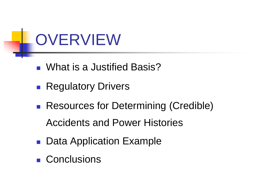

- What is a Justified Basis?
- **Regulatory Drivers**
- Resources for Determining (Credible) Accidents and Power Histories
- **Data Application Example**
- **Conclusions**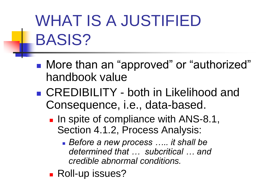# WHAT IS A JUSTIFIED BASIS?

- More than an "approved" or "authorized" handbook value
- CREDIBILITY both in Likelihood and Consequence, i.e., data-based.
	- In spite of compliance with ANS-8.1, Section 4.1.2, Process Analysis:
		- *Before a new process ….. it shall be determined that … subcritical … and credible abnormal conditions.*
	- **Roll-up issues?**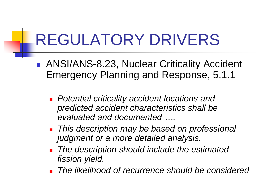## REGULATORY DRIVERS

- ANSI/ANS-8.23, Nuclear Criticality Accident Emergency Planning and Response, 5.1.1
	- *Potential criticality accident locations and predicted accident characteristics shall be evaluated and documented ….*
	- *This description may be based on professional judgment or a more detailed analysis.*
	- *The description should include the estimated fission yield.*
	- *The likelihood of recurrence should be considered*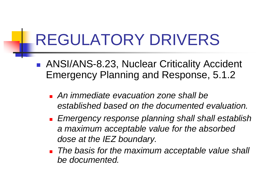## REGULATORY DRIVERS

- ANSI/ANS-8.23, Nuclear Criticality Accident Emergency Planning and Response, 5.1.2
	- *An immediate evacuation zone shall be established based on the documented evaluation.*
	- *Emergency response planning shall shall establish a maximum acceptable value for the absorbed dose at the IEZ boundary.*
	- *The basis for the maximum acceptable value shall be documented.*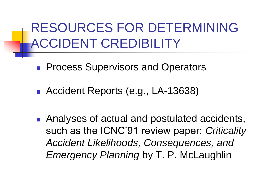RESOURCES FOR DETERMINING ACCIDENT CREDIBILITY

- **Process Supervisors and Operators**
- **Accident Reports (e.g., LA-13638)**
- Analyses of actual and postulated accidents, such as the ICNC'91 review paper: *Criticality Accident Likelihoods, Consequences, and Emergency Planning* by T. P. McLaughlin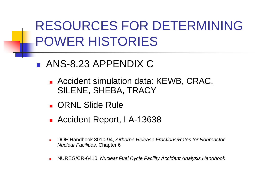#### RESOURCES FOR DETERMINING POWER HISTORIES

- ANS-8.23 APPENDIX C
	- **Accident simulation data: KEWB, CRAC,** SILENE, SHEBA, TRACY
	- **CORNL Slide Rule**
	- **Accident Report, LA-13638**
	- DOE Handbook 3010-94, *Airborne Release Fractions/Rates for Nonreactor Nuclear Facilities,* Chapter 6
	- NUREG/CR-6410, *Nuclear Fuel Cycle Facility Accident Analysis Handbook*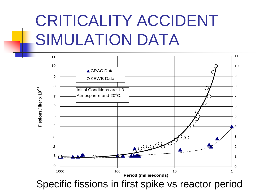# CRITICALITY ACCIDENT SIMULATION DATA

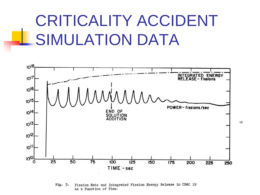### CRITICALITY ACCIDENT SIMULATION DATA



Fission Rate and Integrated Fission Energy Release in CRAC 19 Fig.  $5.$ as a Function of Time.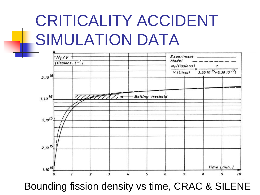## CRITICALITY ACCIDENT SIMULATION DATA



Bounding fission density vs time, CRAC & SILENE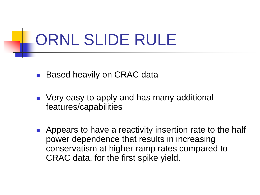## ORNL SLIDE RULE

- **Based heavily on CRAC data**
- **Very easy to apply and has many additional** features/capabilities
- **Appears to have a reactivity insertion rate to the half** power dependence that results in increasing conservatism at higher ramp rates compared to CRAC data, for the first spike yield.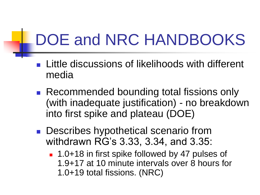# DOE and NRC HANDBOOKS

- Little discussions of likelihoods with different media
- Recommended bounding total fissions only (with inadequate justification) - no breakdown into first spike and plateau (DOE)
- **Describes hypothetical scenario from** withdrawn RG's 3.33, 3.34, and 3.35:
	- 1.0+18 in first spike followed by 47 pulses of 1.9+17 at 10 minute intervals over 8 hours for 1.0+19 total fissions. (NRC)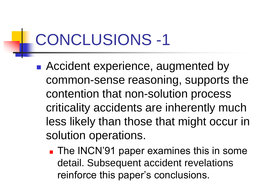# CONCLUSIONS -1

- Accident experience, augmented by common-sense reasoning, supports the contention that non-solution process criticality accidents are inherently much less likely than those that might occur in solution operations.
	- **The INCN'91 paper examines this in some** detail. Subsequent accident revelations reinforce this paper's conclusions.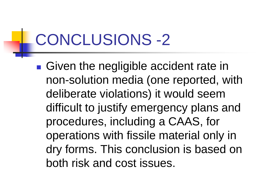## CONCLUSIONS -2

■ Given the negligible accident rate in non-solution media (one reported, with deliberate violations) it would seem difficult to justify emergency plans and procedures, including a CAAS, for operations with fissile material only in dry forms. This conclusion is based on both risk and cost issues.